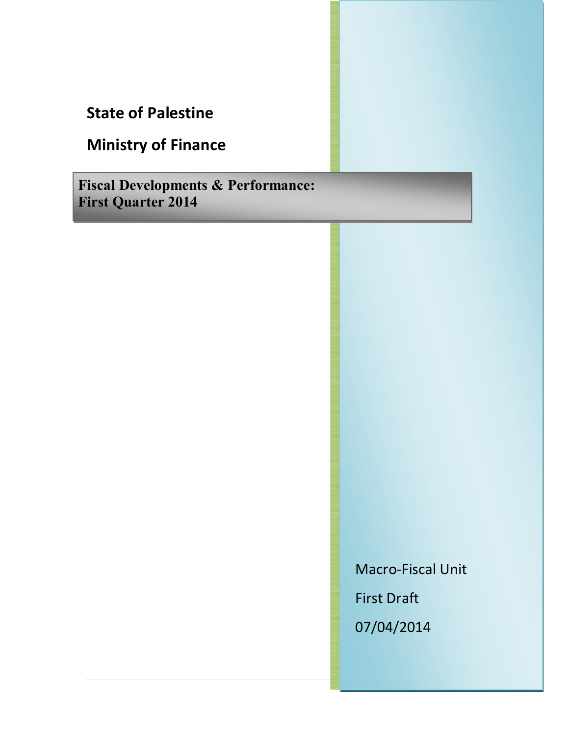# **State of Palestine**

# **Ministry of Finance**

**Fiscal Developments & Performance: First Quarter 2014**

> Macro-Fiscal Unit First Draft 07/04/2014

> > 1 | P a g e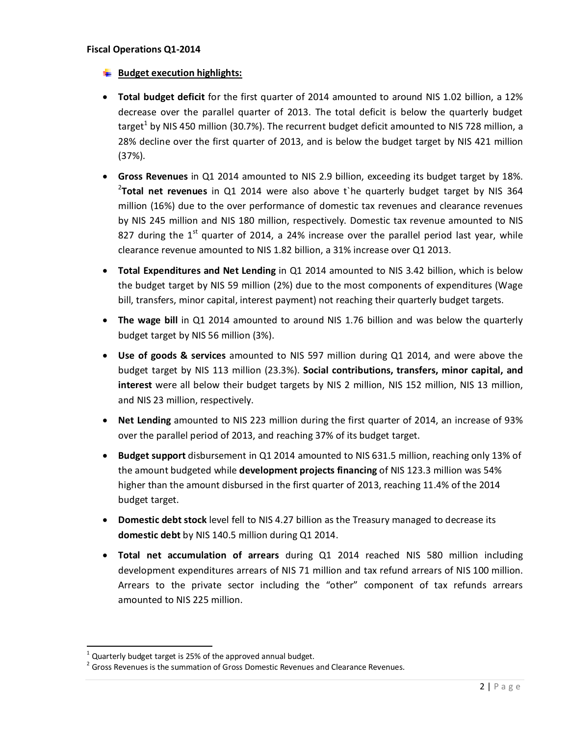### **Fiscal Operations Q1-2014**

- **Budget execution highlights:**
- · **Total budget deficit** for the first quarter of 2014 amounted to around NIS 1.02 billion, a 12% decrease over the parallel quarter of 2013. The total deficit is below the quarterly budget target<sup>1</sup> by NIS 450 million (30.7%). The recurrent budget deficit amounted to NIS 728 million, a 28% decline over the first quarter of 2013, and is below the budget target by NIS 421 million (37%).
- · **Gross Revenues** in Q1 2014 amounted to NIS 2.9 billion, exceeding its budget target by 18%. 2 **Total net revenues** in Q1 2014 were also above t`he quarterly budget target by NIS 364 million (16%) due to the over performance of domestic tax revenues and clearance revenues by NIS 245 million and NIS 180 million, respectively. Domestic tax revenue amounted to NIS 827 during the  $1^{st}$  quarter of 2014, a 24% increase over the parallel period last year, while clearance revenue amounted to NIS 1.82 billion, a 31% increase over Q1 2013.
- · **Total Expenditures and Net Lending** in Q1 2014 amounted to NIS 3.42 billion, which is below the budget target by NIS 59 million (2%) due to the most components of expenditures (Wage bill, transfers, minor capital, interest payment) not reaching their quarterly budget targets.
- · **The wage bill** in Q1 2014 amounted to around NIS 1.76 billion and was below the quarterly budget target by NIS 56 million (3%).
- · **Use of goods & services** amounted to NIS 597 million during Q1 2014, and were above the budget target by NIS 113 million (23.3%). **Social contributions, transfers, minor capital, and interest** were all below their budget targets by NIS 2 million, NIS 152 million, NIS 13 million, and NIS 23 million, respectively.
- · **Net Lending** amounted to NIS 223 million during the first quarter of 2014, an increase of 93% over the parallel period of 2013, and reaching 37% of its budget target.
- · **Budget support** disbursement in Q1 2014 amounted to NIS 631.5 million, reaching only 13% of the amount budgeted while **development projects financing** of NIS 123.3 million was 54% higher than the amount disbursed in the first quarter of 2013, reaching 11.4% of the 2014 budget target.
- · **Domestic debt stock** level fell to NIS 4.27 billion as the Treasury managed to decrease its **domestic debt** by NIS 140.5 million during Q1 2014.
- · **Total net accumulation of arrears** during Q1 2014 reached NIS 580 million including development expenditures arrears of NIS 71 million and tax refund arrears of NIS 100 million. Arrears to the private sector including the "other" component of tax refunds arrears amounted to NIS 225 million.

 $1$  Quarterly budget target is 25% of the approved annual budget.

 $2$  Gross Revenues is the summation of Gross Domestic Revenues and Clearance Revenues.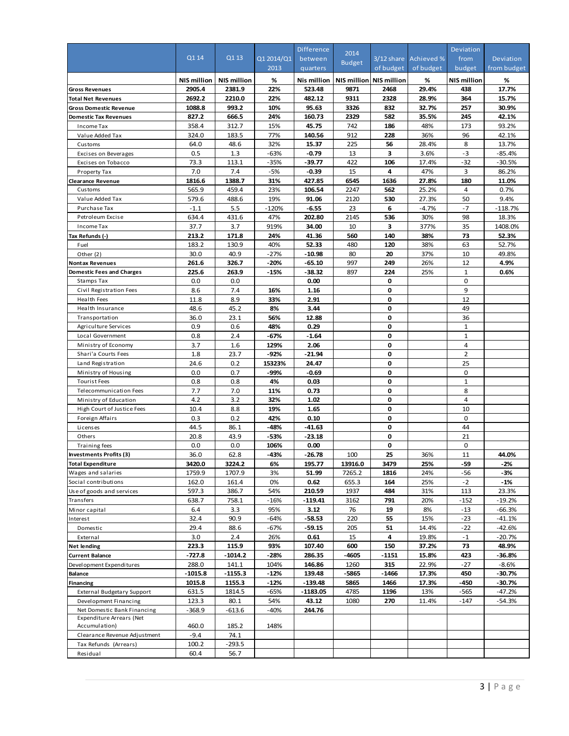|                                                            | Q1 14         | Q113               | Q1 2014/Q1   | <b>Difference</b>   | 2014                    | $3/12$ share | Achieved %    | Deviation<br>from  | Deviation      |
|------------------------------------------------------------|---------------|--------------------|--------------|---------------------|-------------------------|--------------|---------------|--------------------|----------------|
|                                                            |               |                    | 2013         | between<br>quarters | <b>Budget</b>           | of budget    | of budget     | budget             | from budget    |
|                                                            | NIS million   | <b>NIS million</b> | %            | Nis million         | NIS million NIS million |              | %             | <b>NIS million</b> | %              |
| <b>Gross Revenues</b>                                      | 2905.4        | 2381.9             | 22%          | 523.48              | 9871                    | 2468         | 29.4%         | 438                | 17.7%          |
| <b>Total Net Revenues</b>                                  | 2692.2        | 2210.0             | 22%          | 482.12              | 9311                    | 2328         | 28.9%         | 364                | 15.7%          |
| Gross Domestic Revenue                                     | 1088.8        | 993.2              | 10%          | 95.63               | 3326                    | 832          | 32.7%         | 257                | 30.9%          |
| <b>Domestic Tax Revenues</b>                               | 827.2         | 666.5              | 24%          | 160.73              | 2329                    | 582          | 35.5%         | 245                | 42.1%          |
| Income Tax                                                 | 358.4         | 312.7              | 15%          | 45.75               | 742                     | 186          | 48%           | 173                | 93.2%          |
| Value Added Tax                                            | 324.0<br>64.0 | 183.5<br>48.6      | 77%<br>32%   | 140.56<br>15.37     | 912<br>225              | 228<br>56    | 36%           | 96<br>8            | 42.1%<br>13.7% |
| Customs                                                    | 0.5           | 1.3                | -63%         | $-0.79$             | 13                      | 3            | 28.4%<br>3.6% | $-3$               | $-85.4%$       |
| Excises on Beverages<br>Excises on Tobacco                 | 73.3          | 113.1              | $-35%$       | $-39.77$            | 422                     | 106          | 17.4%         | $-32$              | $-30.5%$       |
| Property Tax                                               | 7.0           | 7.4                | -5%          | -0.39               | 15                      | 4            | 47%           | 3                  | 86.2%          |
| <b>Clearance Revenue</b>                                   | 1816.6        | 1388.7             | 31%          | 427.85              | 6545                    | 1636         | 27.8%         | 180                | 11.0%          |
| Customs                                                    | 565.9         | 459.4              | 23%          | 106.54              | 2247                    | 562          | 25.2%         | $\overline{4}$     | 0.7%           |
| Value Added Tax                                            | 579.6         | 488.6              | 19%          | 91.06               | 2120                    | 530          | 27.3%         | 50                 | 9.4%           |
| Purchase Tax                                               | $-1.1$        | 5.5                | -120%        | -6.55               | 23                      | 6            | -4.7%         | $-7$               | $-118.7%$      |
| Petroleum Excise                                           | 634.4         | 431.6              | 47%          | 202.80              | 2145                    | 536          | 30%           | 98                 | 18.3%          |
| Income Tax                                                 | 37.7          | 3.7                | 919%         | 34.00               | 10                      | 3            | 377%          | 35                 | 1408.0%        |
| Tax Refunds (-)                                            | 213.2         | 171.8              | 24%          | 41.36               | 560                     | 140          | 38%           | 73                 | 52.3%          |
| Fuel                                                       | 183.2         | 130.9              | 40%          | 52.33               | 480                     | 120          | 38%           | 63                 | 52.7%          |
| Other (2)                                                  | 30.0          | 40.9               | $-27%$       | $-10.98$            | 80                      | 20           | 37%           | 10                 | 49.8%          |
| <b>Nontax Revenues</b>                                     | 261.6         | 326.7              | $-20%$       | -65.10              | 997                     | 249          | 26%           | 12                 | 4.9%           |
| <b>Domestic Fees and Charges</b>                           | 225.6         | 263.9              | $-15%$       | -38.32              | 897                     | 224          | 25%           | $\mathbf{1}$       | 0.6%           |
| Stamps Tax                                                 | 0.0           | 0.0                |              | 0.00                |                         | 0            |               | 0                  |                |
| Civil Registration Fees                                    | 8.6           | 7.4                | 16%          | 1.16                |                         | 0            |               | 9                  |                |
| Health Fees                                                | 11.8          | 8.9                | 33%          | 2.91                |                         | 0            |               | 12                 |                |
| Health Insurance                                           | 48.6          | 45.2               | 8%           | 3.44                |                         | 0            |               | 49                 |                |
| Transportation                                             | 36.0          | 23.1               | 56%          | 12.88               |                         | 0            |               | 36                 |                |
| Agriculture Services                                       | 0.9           | 0.6                | 48%          | 0.29                |                         | 0            |               | $\mathbf{1}$       |                |
| Local Government                                           | 0.8           | 2.4                | -67%         | -1.64               |                         | 0            |               | $\mathbf{1}$       |                |
| Ministry of Economy                                        | 3.7           | 1.6                | 129%         | 2.06                |                         | 0            |               | $\overline{4}$     |                |
| Shari'a Courts Fees                                        | 1.8           | 23.7               | -92%         | -21.94              |                         | 0            |               | $\overline{2}$     |                |
| Land Registration                                          | 24.6          | 0.2                | 15323%       | 24.47               |                         | 0            |               | 25                 |                |
| Ministry of Housing                                        | 0.0           | 0.7                | -99%         | -0.69               |                         | 0            |               | 0                  |                |
| <b>Tourist Fees</b>                                        | 0.8           | 0.8                | 4%           | 0.03                |                         | 0            |               | $\mathbf{1}$       |                |
| Telecommunication Fees                                     | 7.7           | 7.0                | 11%          | 0.73                |                         | 0            |               | 8                  |                |
| Ministry of Education                                      | 4.2           | 3.2                | 32%          | 1.02                |                         | 0            |               | $\overline{4}$     |                |
| High Court of Justice Fees                                 | 10.4          | 8.8                | 19%          | 1.65                |                         | 0            |               | 10                 |                |
| Foreign Affairs                                            | 0.3           | 0.2                | 42%          | 0.10                |                         | 0            |               | $\mathbf 0$        |                |
| Licenses                                                   | 44.5          | 86.1               | -48%         | -41.63              |                         | 0            |               | 44                 |                |
| Others                                                     | 20.8          | 43.9               | -53%         | -23.18              |                         | 0            |               | 21                 |                |
| Training fees                                              | 0.0<br>36.0   | 0.0<br>62.8        | 106%<br>-43% | 0.00<br>-26.78      | 100                     | 0<br>25      | 36%           | 0<br>11            | 44.0%          |
| <b>Investments Profits (3)</b><br><b>Total Expenditure</b> | 3420.0        | 3224.2             |              | 195.77              | 13916.0                 | 3479         | 25%           |                    |                |
| Wages and salaries                                         | 1759.9        | 1707.9             | 6%<br>3%     | 51.99               | 7265.2                  | 1816         | 24%           | -59<br>-56         | -2%<br>-3%     |
| Social contributions                                       | 162.0         | 161.4              | 0%           | 0.62                | 655.3                   | 164          | 25%           | $-2$               | $-1%$          |
| Use of goods and services                                  | 597.3         | 386.7              | 54%          | 210.59              | 1937                    | 484          | 31%           | 113                | 23.3%          |
| Transfers                                                  | 638.7         | 758.1              | $-16%$       | -119.41             | 3162                    | 791          | 20%           | $-152$             | $-19.2%$       |
| Minor capital                                              | 6.4           | 3.3                | 95%          | 3.12                | 76                      | 19           | 8%            | $-13$              | $-66.3%$       |
| Interest                                                   | 32.4          | 90.9               | $-64%$       | $-58.53$            | 220                     | 55           | 15%           | $-23$              | $-41.1%$       |
| Domestic                                                   | 29.4          | 88.6               | -67%         | $-59.15$            | 205                     | 51           | 14.4%         | $-22$              | -42.6%         |
| External                                                   | 3.0           | 2.4                | 26%          | 0.61                | 15                      | 4            | 19.8%         | $-1$               | $-20.7%$       |
| <b>Net lending</b>                                         | 223.3         | 115.9              | 93%          | 107.40              | 600                     | 150          | 37.2%         | 73                 | 48.9%          |
| <b>Current Balance</b>                                     | $-727.8$      | $-1014.2$          | $-28%$       | 286.35              | -4605                   | -1151        | 15.8%         | 423                | $-36.8%$       |
| Devel opment Expenditures                                  | 288.0         | 141.1              | 104%         | 146.86              | 1260                    | 315          | 22.9%         | $-27$              | $-8.6%$        |
| Balance                                                    | $-1015.8$     | $-1155.3$          | $-12%$       | 139.48              | -5865                   | -1466        | 17.3%         | 450                | -30.7%         |
| <b>Financing</b>                                           | 1015.8        | 1155.3             | $-12%$       | -139.48             | 5865                    | 1466         | 17.3%         | -450               | $-30.7%$       |
| <b>External Budgetary Support</b>                          | 631.5         | 1814.5             | $-65%$       | $-1183.05$          | 4785                    | 1196         | 13%           | $-565$             | $-47.2%$       |
| Development Financing                                      | 123.3         | 80.1               | 54%          | 43.12               | 1080                    | 270          | 11.4%         | $-147$             | $-54.3%$       |
| Net Domestic Bank Financing                                | $-368.9$      | $-613.6$           | $-40%$       | 244.76              |                         |              |               |                    |                |
| Expenditure Arrears (Net                                   |               |                    |              |                     |                         |              |               |                    |                |
| Accumulation)                                              | 460.0         | 185.2              | 148%         |                     |                         |              |               |                    |                |
| Clearance Revenue Adjustment                               | $-9.4$        | 74.1               |              |                     |                         |              |               |                    |                |
| Tax Refunds (Arrears)                                      | 100.2         | -293.5             |              |                     |                         |              |               |                    |                |
| Residual                                                   | 60.4          | 56.7               |              |                     |                         |              |               |                    |                |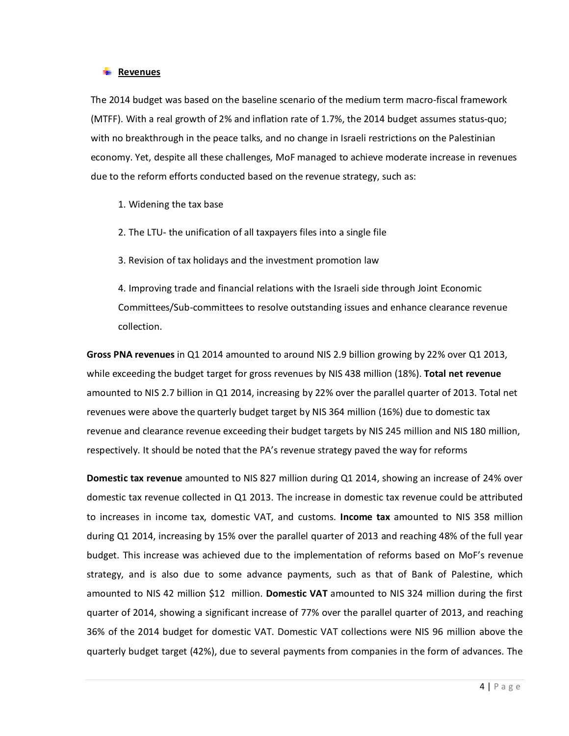#### **Revenues**

The 2014 budget was based on the baseline scenario of the medium term macro-fiscal framework (MTFF). With a real growth of 2% and inflation rate of 1.7%, the 2014 budget assumes status-quo; with no breakthrough in the peace talks, and no change in Israeli restrictions on the Palestinian economy. Yet, despite all these challenges, MoF managed to achieve moderate increase in revenues due to the reform efforts conducted based on the revenue strategy, such as:

1. Widening the tax base

- 2. The LTU- the unification of all taxpayers files into a single file
- 3. Revision of tax holidays and the investment promotion law

4. Improving trade and financial relations with the Israeli side through Joint Economic Committees/Sub-committees to resolve outstanding issues and enhance clearance revenue collection.

**Gross PNA revenues** in Q1 2014 amounted to around NIS 2.9 billion growing by 22% over Q1 2013, while exceeding the budget target for gross revenues by NIS 438 million (18%). **Total net revenue** amounted to NIS 2.7 billion in Q1 2014, increasing by 22% over the parallel quarter of 2013. Total net revenues were above the quarterly budget target by NIS 364 million (16%) due to domestic tax revenue and clearance revenue exceeding their budget targets by NIS 245 million and NIS 180 million, respectively. It should be noted that the PA's revenue strategy paved the way for reforms

**Domestic tax revenue** amounted to NIS 827 million during Q1 2014, showing an increase of 24% over domestic tax revenue collected in Q1 2013. The increase in domestic tax revenue could be attributed to increases in income tax, domestic VAT, and customs. **Income tax** amounted to NIS 358 million during Q1 2014, increasing by 15% over the parallel quarter of 2013 and reaching 48% of the full year budget. This increase was achieved due to the implementation of reforms based on MoF's revenue strategy, and is also due to some advance payments, such as that of Bank of Palestine, which amounted to NIS 42 million \$12 million. **Domestic VAT** amounted to NIS 324 million during the first quarter of 2014, showing a significant increase of 77% over the parallel quarter of 2013, and reaching 36% of the 2014 budget for domestic VAT. Domestic VAT collections were NIS 96 million above the quarterly budget target (42%), due to several payments from companies in the form of advances. The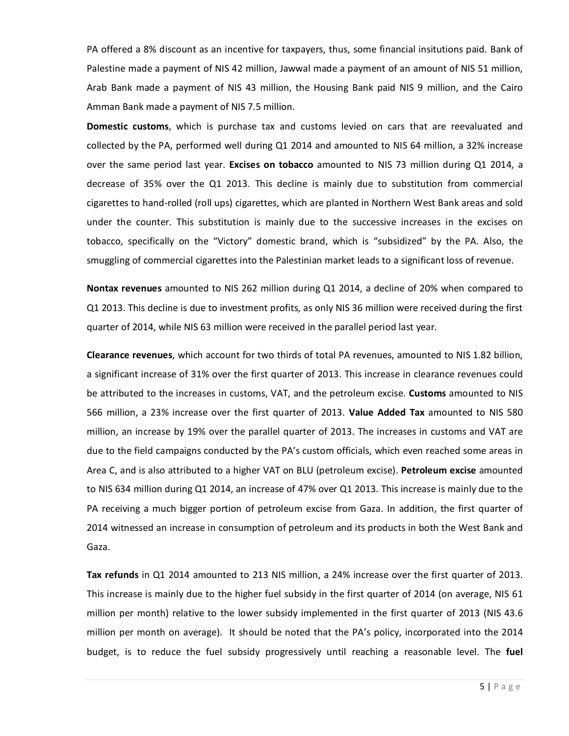PA offered a 8% discount as an incentive for taxpayers, thus, some financial insitutions paid. Bank of Palestine made a payment of NIS 42 million, Jawwal made a payment of an amount of NIS 51 million, Arab Bank made a payment of NIS 43 million, the Housing Bank paid NIS 9 million, and the Cairo Amman Bank made a payment of NIS 7.5 million.

**Domestic customs**, which is purchase tax and customs levied on cars that are reevaluated and collected by the PA, performed well during Q1 2014 and amounted to NIS 64 million, a 32% increase over the same period last year. **Excises on tobacco** amounted to NIS 73 million during Q1 2014, a decrease of 35% over the Q1 2013. This decline is mainly due to substitution from commercial cigarettes to hand-rolled (roll ups) cigarettes, which are planted in Northern West Bank areas and sold under the counter. This substitution is mainly due to the successive increases in the excises on tobacco, specifically on the "Victory" domestic brand, which is "subsidized" by the PA. Also, the smuggling of commercial cigarettes into the Palestinian market leads to a significant loss of revenue.

**Nontax revenues** amounted to NIS 262 million during Q1 2014, a decline of 20% when compared to Q1 2013. This decline is due to investment profits, as only NIS 36 million were received during the first quarter of 2014, while NIS 63 million were received in the parallel period last year.

**Clearance revenues**, which account for two thirds of total PA revenues, amounted to NIS 1.82 billion, a significant increase of 31% over the first quarter of 2013. This increase in clearance revenues could be attributed to the increases in customs, VAT, and the petroleum excise. **Customs** amounted to NIS 566 million, a 23% increase over the first quarter of 2013. **Value Added Tax** amounted to NIS 580 million, an increase by 19% over the parallel quarter of 2013. The increases in customs and VAT are due to the field campaigns conducted by the PA's custom officials, which even reached some areas in Area C, and is also attributed to a higher VAT on BLU (petroleum excise). **Petroleum excise** amounted to NIS 634 million during Q1 2014, an increase of 47% over Q1 2013. This increase is mainly due to the PA receiving a much bigger portion of petroleum excise from Gaza. In addition, the first quarter of 2014 witnessed an increase in consumption of petroleum and its products in both the West Bank and Gaza.

**Tax refunds** in Q1 2014 amounted to 213 NIS million, a 24% increase over the first quarter of 2013. This increase is mainly due to the higher fuel subsidy in the first quarter of 2014 (on average, NIS 61 million per month) relative to the lower subsidy implemented in the first quarter of 2013 (NIS 43.6 million per month on average). It should be noted that the PA's policy, incorporated into the 2014 budget, is to reduce the fuel subsidy progressively until reaching a reasonable level. The **fuel**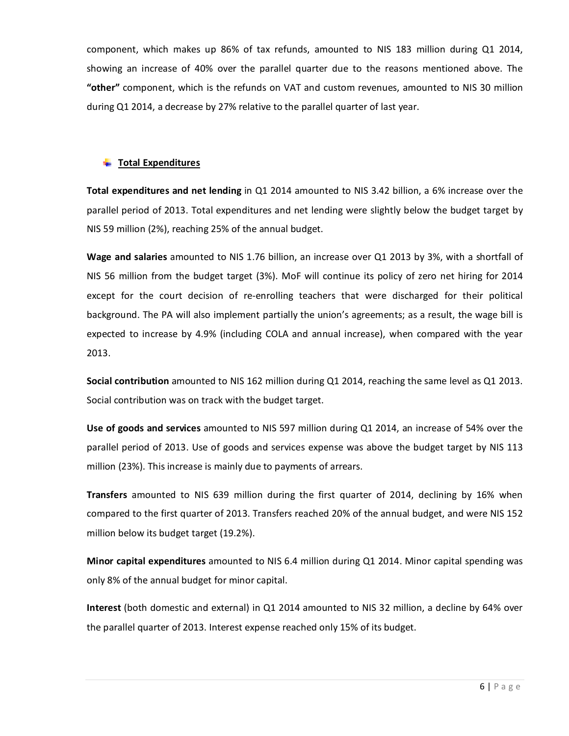component, which makes up 86% of tax refunds, amounted to NIS 183 million during Q1 2014, showing an increase of 40% over the parallel quarter due to the reasons mentioned above. The **"other"** component, which is the refunds on VAT and custom revenues, amounted to NIS 30 million during Q1 2014, a decrease by 27% relative to the parallel quarter of last year.

## **Total Expenditures**

**Total expenditures and net lending** in Q1 2014 amounted to NIS 3.42 billion, a 6% increase over the parallel period of 2013. Total expenditures and net lending were slightly below the budget target by NIS 59 million (2%), reaching 25% of the annual budget.

**Wage and salaries** amounted to NIS 1.76 billion, an increase over Q1 2013 by 3%, with a shortfall of NIS 56 million from the budget target (3%). MoF will continue its policy of zero net hiring for 2014 except for the court decision of re-enrolling teachers that were discharged for their political background. The PA will also implement partially the union's agreements; as a result, the wage bill is expected to increase by 4.9% (including COLA and annual increase), when compared with the year 2013.

**Social contribution** amounted to NIS 162 million during Q1 2014, reaching the same level as Q1 2013. Social contribution was on track with the budget target.

**Use of goods and services** amounted to NIS 597 million during Q1 2014, an increase of 54% over the parallel period of 2013. Use of goods and services expense was above the budget target by NIS 113 million (23%). This increase is mainly due to payments of arrears.

**Transfers** amounted to NIS 639 million during the first quarter of 2014, declining by 16% when compared to the first quarter of 2013. Transfers reached 20% of the annual budget, and were NIS 152 million below its budget target (19.2%).

**Minor capital expenditures** amounted to NIS 6.4 million during Q1 2014. Minor capital spending was only 8% of the annual budget for minor capital.

**Interest** (both domestic and external) in Q1 2014 amounted to NIS 32 million, a decline by 64% over the parallel quarter of 2013. Interest expense reached only 15% of its budget.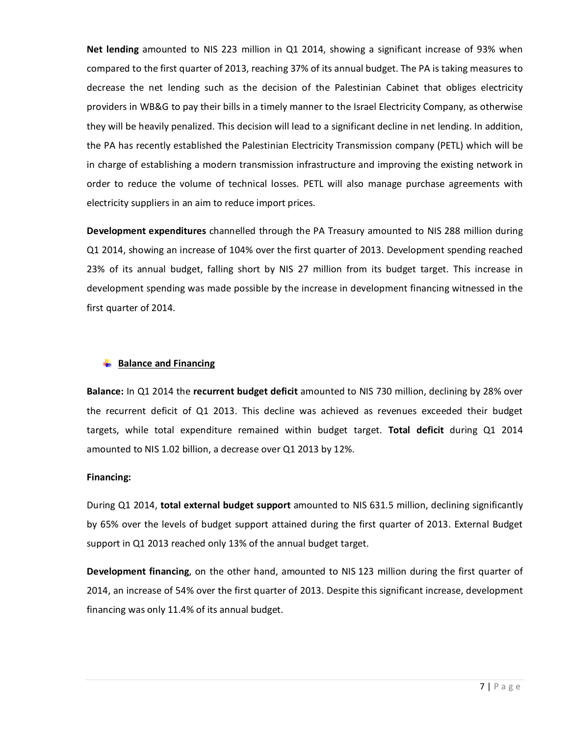**Net lending** amounted to NIS 223 million in Q1 2014, showing a significant increase of 93% when compared to the first quarter of 2013, reaching 37% of its annual budget. The PA is taking measures to decrease the net lending such as the decision of the Palestinian Cabinet that obliges electricity providers in WB&G to pay their bills in a timely manner to the Israel Electricity Company, as otherwise they will be heavily penalized. This decision will lead to a significant decline in net lending. In addition, the PA has recently established the Palestinian Electricity Transmission company (PETL) which will be in charge of establishing a modern transmission infrastructure and improving the existing network in order to reduce the volume of technical losses. PETL will also manage purchase agreements with electricity suppliers in an aim to reduce import prices.

**Development expenditures** channelled through the PA Treasury amounted to NIS 288 million during Q1 2014, showing an increase of 104% over the first quarter of 2013. Development spending reached 23% of its annual budget, falling short by NIS 27 million from its budget target. This increase in development spending was made possible by the increase in development financing witnessed in the first quarter of 2014.

# **Balance and Financing**

**Balance:** In Q1 2014 the **recurrent budget deficit** amounted to NIS 730 million, declining by 28% over the recurrent deficit of Q1 2013. This decline was achieved as revenues exceeded their budget targets, while total expenditure remained within budget target. **Total deficit** during Q1 2014 amounted to NIS 1.02 billion, a decrease over Q1 2013 by 12%.

## **Financing:**

During Q1 2014, **total external budget support** amounted to NIS 631.5 million, declining significantly by 65% over the levels of budget support attained during the first quarter of 2013. External Budget support in Q1 2013 reached only 13% of the annual budget target.

**Development financing**, on the other hand, amounted to NIS 123 million during the first quarter of 2014, an increase of 54% over the first quarter of 2013. Despite this significant increase, development financing was only 11.4% of its annual budget.